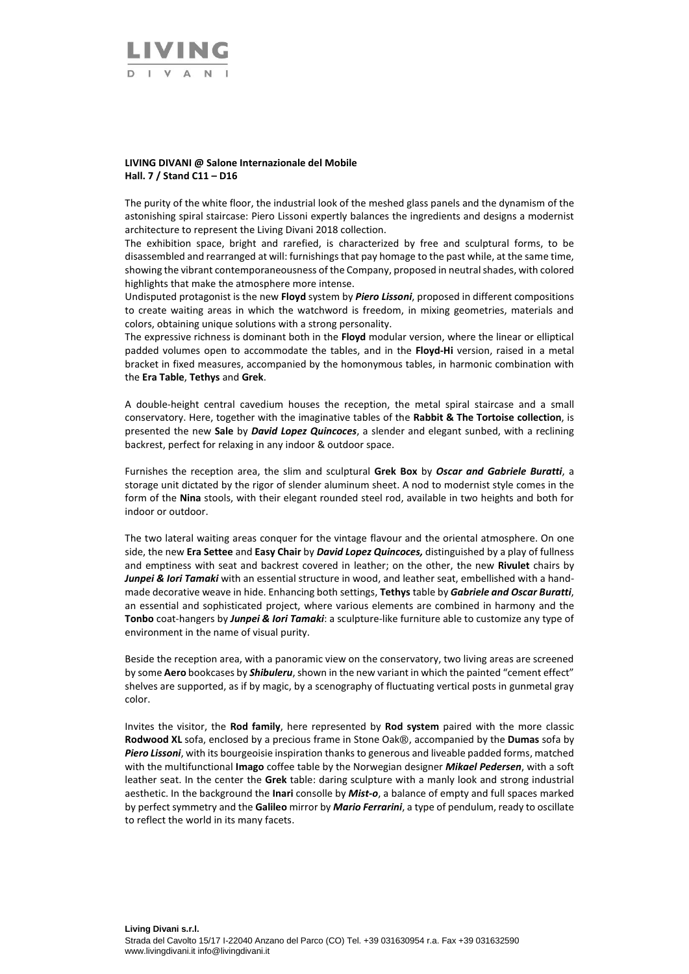

#### **LIVING DIVANI @ Salone Internazionale del Mobile Hall. 7 / Stand C11 – D16**

The purity of the white floor, the industrial look of the meshed glass panels and the dynamism of the astonishing spiral staircase: Piero Lissoni expertly balances the ingredients and designs a modernist architecture to represent the Living Divani 2018 collection.

The exhibition space, bright and rarefied, is characterized by free and sculptural forms, to be disassembled and rearranged at will: furnishings that pay homage to the past while, at the same time, showing the vibrant contemporaneousness of the Company, proposed in neutral shades, with colored highlights that make the atmosphere more intense.

Undisputed protagonist is the new **Floyd** system by *Piero Lissoni*, proposed in different compositions to create waiting areas in which the watchword is freedom, in mixing geometries, materials and colors, obtaining unique solutions with a strong personality.

The expressive richness is dominant both in the **Floyd** modular version, where the linear or elliptical padded volumes open to accommodate the tables, and in the **Floyd-Hi** version, raised in a metal bracket in fixed measures, accompanied by the homonymous tables, in harmonic combination with the **Era Table**, **Tethys** and **Grek**.

A double-height central cavedium houses the reception, the metal spiral staircase and a small conservatory. Here, together with the imaginative tables of the **Rabbit & The Tortoise collection**, is presented the new **Sale** by *David Lopez Quincoces*, a slender and elegant sunbed, with a reclining backrest, perfect for relaxing in any indoor & outdoor space.

Furnishes the reception area, the slim and sculptural **Grek Box** by *Oscar and Gabriele Buratti*, a storage unit dictated by the rigor of slender aluminum sheet. A nod to modernist style comes in the form of the **Nina** stools, with their elegant rounded steel rod, available in two heights and both for indoor or outdoor.

The two lateral waiting areas conquer for the vintage flavour and the oriental atmosphere. On one side, the new **Era Settee** and **Easy Chair** by *David Lopez Quincoces,* distinguished by a play of fullness and emptiness with seat and backrest covered in leather; on the other, the new **Rivulet** chairs by *Junpei & Iori Tamaki* with an essential structure in wood, and leather seat, embellished with a handmade decorative weave in hide. Enhancing both settings, **Tethys** table by *Gabriele and Oscar Buratti*, an essential and sophisticated project, where various elements are combined in harmony and the **Tonbo** coat-hangers by *Junpei & Iori Tamaki*: a sculpture-like furniture able to customize any type of environment in the name of visual purity.

Beside the reception area, with a panoramic view on the conservatory, two living areas are screened by some **Aero** bookcases by *Shibuleru*, shown in the new variant in which the painted "cement effect" shelves are supported, as if by magic, by a scenography of fluctuating vertical posts in gunmetal gray color.

Invites the visitor, the **Rod family**, here represented by **Rod system** paired with the more classic **Rodwood XL** sofa, enclosed by a precious frame in Stone Oak®, accompanied by the **Dumas** sofa by *Piero Lissoni*, with its bourgeoisie inspiration thanks to generous and liveable padded forms, matched with the multifunctional **Imago** coffee table by the Norwegian designer *Mikael Pedersen*, with a soft leather seat. In the center the **Grek** table: daring sculpture with a manly look and strong industrial aesthetic. In the background the **Inari** consolle by *Mist-o*, a balance of empty and full spaces marked by perfect symmetry and the **Galileo** mirror by *Mario Ferrarini*, a type of pendulum, ready to oscillate to reflect the world in its many facets.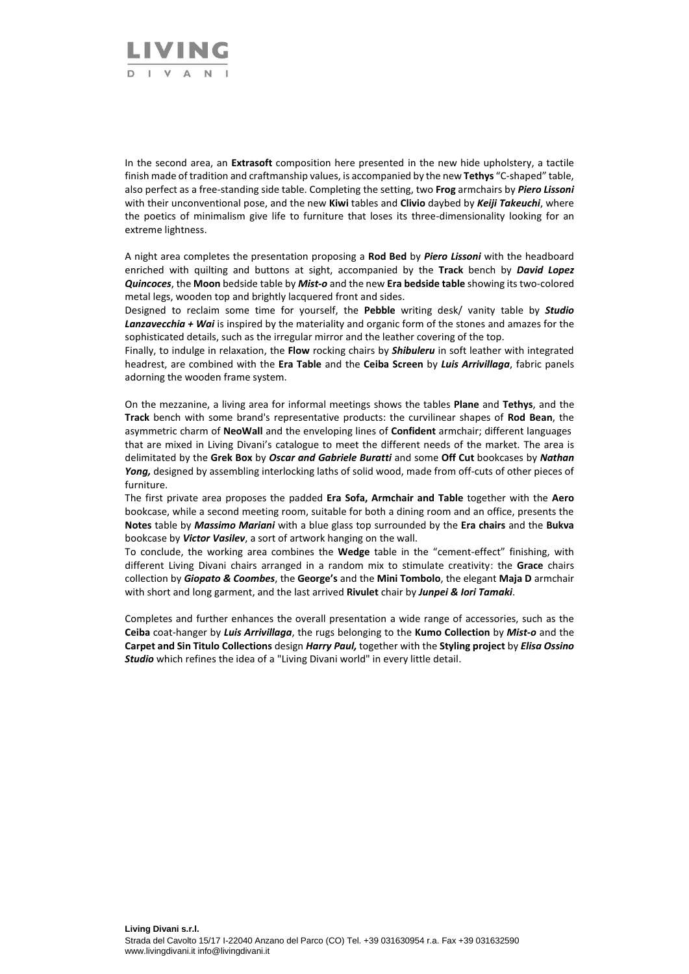

In the second area, an **Extrasoft** composition here presented in the new hide upholstery, a tactile finish made of tradition and craftmanship values, is accompanied by the new **Tethys** "C-shaped" table, also perfect as a free-standing side table. Completing the setting, two **Frog** armchairs by *Piero Lissoni* with their unconventional pose, and the new **Kiwi** tables and **Clivio** daybed by *Keiji Takeuchi*, where the poetics of minimalism give life to furniture that loses its three-dimensionality looking for an extreme lightness.

A night area completes the presentation proposing a **Rod Bed** by *Piero Lissoni* with the headboard enriched with quilting and buttons at sight, accompanied by the **Track** bench by *David Lopez Quincoces*, the **Moon** bedside table by *Mist-o* and the new **Era bedside table** showing its two-colored metal legs, wooden top and brightly lacquered front and sides.

Designed to reclaim some time for yourself, the **Pebble** writing desk/ vanity table by *Studio Lanzavecchia + Wai* is inspired by the materiality and organic form of the stones and amazes for the sophisticated details, such as the irregular mirror and the leather covering of the top.

Finally, to indulge in relaxation, the **Flow** rocking chairs by *Shibuleru* in soft leather with integrated headrest, are combined with the **Era Table** and the **Ceiba Screen** by *Luis Arrivillaga*, fabric panels adorning the wooden frame system.

On the mezzanine, a living area for informal meetings shows the tables **Plane** and **Tethys**, and the **Track** bench with some brand's representative products: the curvilinear shapes of **Rod Bean**, the asymmetric charm of **NeoWall** and the enveloping lines of **Confident** armchair; different languages that are mixed in Living Divani's catalogue to meet the different needs of the market. The area is delimitated by the **Grek Box** by *Oscar and Gabriele Buratti* and some **Off Cut** bookcases by *Nathan*  Yong, designed by assembling interlocking laths of solid wood, made from off-cuts of other pieces of furniture.

The first private area proposes the padded **Era Sofa, Armchair and Table** together with the **Aero** bookcase, while a second meeting room, suitable for both a dining room and an office, presents the **Notes** table by *Massimo Mariani* with a blue glass top surrounded by the **Era chairs** and the **Bukva**  bookcase by *Victor Vasilev*, a sort of artwork hanging on the wall.

To conclude, the working area combines the **Wedge** table in the "cement-effect" finishing, with different Living Divani chairs arranged in a random mix to stimulate creativity: the **Grace** chairs collection by *Giopato & Coombes*, the **George's** and the **Mini Tombolo**, the elegant **Maja D** armchair with short and long garment, and the last arrived **Rivulet** chair by *Junpei & Iori Tamaki*.

Completes and further enhances the overall presentation a wide range of accessories, such as the **Ceiba** coat-hanger by *Luis Arrivillaga*, the rugs belonging to the **Kumo Collection** by *Mist-o* and the **Carpet and Sin Titulo Collections** design *Harry Paul,* together with the **Styling project** by *Elisa Ossino Studio* which refines the idea of a "Living Divani world" in every little detail.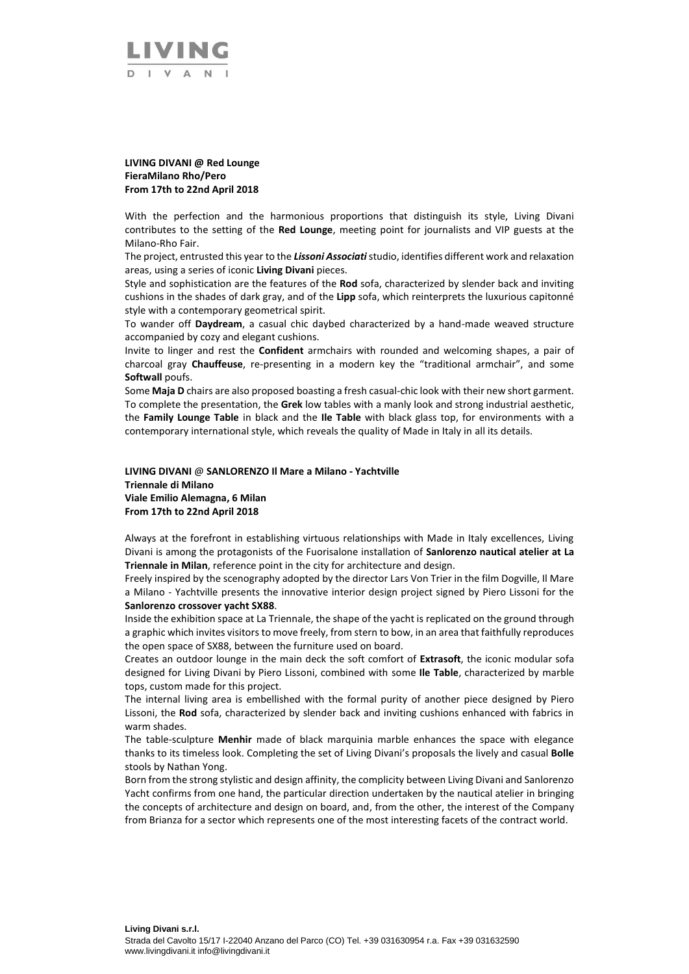

# **LIVING DIVANI @ Red Lounge FieraMilano Rho/Pero From 17th to 22nd April 2018**

With the perfection and the harmonious proportions that distinguish its style, Living Divani contributes to the setting of the **Red Lounge**, meeting point for journalists and VIP guests at the Milano-Rho Fair.

The project, entrusted this year to the *Lissoni Associati*studio, identifies different work and relaxation areas, using a series of iconic **Living Divani** pieces.

Style and sophistication are the features of the **Rod** sofa, characterized by slender back and inviting cushions in the shades of dark gray, and of the **Lipp** sofa, which reinterprets the luxurious capitonné style with a contemporary geometrical spirit.

To wander off **Daydream**, a casual chic daybed characterized by a hand-made weaved structure accompanied by cozy and elegant cushions.

Invite to linger and rest the **Confident** armchairs with rounded and welcoming shapes, a pair of charcoal gray **Chauffeuse**, re-presenting in a modern key the "traditional armchair", and some **Softwall poufs.** 

Some **Maja D** chairs are also proposed boasting a fresh casual-chic look with their new short garment. To complete the presentation, the **Grek** low tables with a manly look and strong industrial aesthetic, the **Family Lounge Table** in black and the **Ile Table** with black glass top, for environments with a contemporary international style, which reveals the quality of Made in Italy in all its details.

### **LIVING DIVANI** @ **SANLORENZO Il Mare a Milano - Yachtville Triennale di Milano Viale Emilio Alemagna, 6 Milan From 17th to 22nd April 2018**

Always at the forefront in establishing virtuous relationships with Made in Italy excellences, Living Divani is among the protagonists of the Fuorisalone installation of **Sanlorenzo nautical atelier at La Triennale in Milan**, reference point in the city for architecture and design.

Freely inspired by the scenography adopted by the director Lars Von Trier in the film Dogville, Il Mare a Milano - Yachtville presents the innovative interior design project signed by Piero Lissoni for the **Sanlorenzo crossover yacht SX88**.

Inside the exhibition space at La Triennale, the shape of the yacht is replicated on the ground through a graphic which invites visitors to move freely, from stern to bow, in an area that faithfully reproduces the open space of SX88, between the furniture used on board.

Creates an outdoor lounge in the main deck the soft comfort of **Extrasoft**, the iconic modular sofa designed for Living Divani by Piero Lissoni, combined with some **Ile Table**, characterized by marble tops, custom made for this project.

The internal living area is embellished with the formal purity of another piece designed by Piero Lissoni, the **Rod** sofa, characterized by slender back and inviting cushions enhanced with fabrics in warm shades.

The table-sculpture **Menhir** made of black marquinia marble enhances the space with elegance thanks to its timeless look. Completing the set of Living Divani's proposals the lively and casual **Bolle** stools by Nathan Yong.

Born from the strong stylistic and design affinity, the complicity between Living Divani and Sanlorenzo Yacht confirms from one hand, the particular direction undertaken by the nautical atelier in bringing the concepts of architecture and design on board, and, from the other, the interest of the Company from Brianza for a sector which represents one of the most interesting facets of the contract world.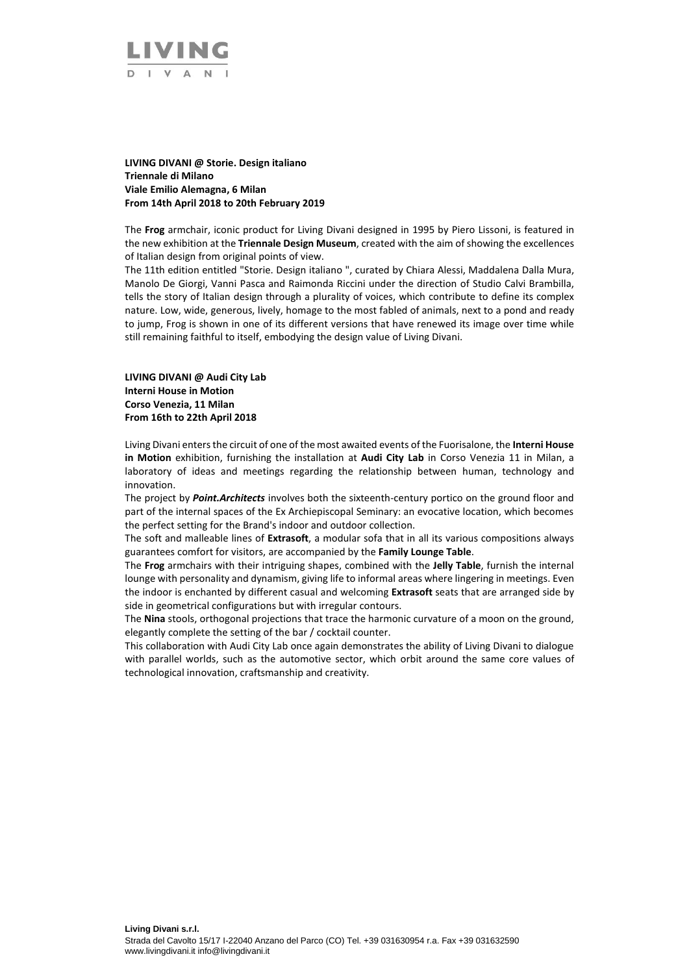

### **LIVING DIVANI @ Storie. Design italiano Triennale di Milano Viale Emilio Alemagna, 6 Milan From 14th April 2018 to 20th February 2019**

The **Frog** armchair, iconic product for Living Divani designed in 1995 by Piero Lissoni, is featured in the new exhibition at the **Triennale Design Museum**, created with the aim of showing the excellences of Italian design from original points of view.

The 11th edition entitled "Storie. Design italiano ", curated by Chiara Alessi, Maddalena Dalla Mura, Manolo De Giorgi, Vanni Pasca and Raimonda Riccini under the direction of Studio Calvi Brambilla, tells the story of Italian design through a plurality of voices, which contribute to define its complex nature. Low, wide, generous, lively, homage to the most fabled of animals, next to a pond and ready to jump, Frog is shown in one of its different versions that have renewed its image over time while still remaining faithful to itself, embodying the design value of Living Divani.

# **LIVING DIVANI @ Audi City Lab Interni House in Motion Corso Venezia, 11 Milan From 16th to 22th April 2018**

Living Divani enters the circuit of one of the most awaited events of the Fuorisalone, the **Interni House in Motion** exhibition, furnishing the installation at **Audi City Lab** in Corso Venezia 11 in Milan, a laboratory of ideas and meetings regarding the relationship between human, technology and innovation.

The project by *Point.Architects* involves both the sixteenth-century portico on the ground floor and part of the internal spaces of the Ex Archiepiscopal Seminary: an evocative location, which becomes the perfect setting for the Brand's indoor and outdoor collection.

The soft and malleable lines of **Extrasoft**, a modular sofa that in all its various compositions always guarantees comfort for visitors, are accompanied by the **Family Lounge Table**.

The **Frog** armchairs with their intriguing shapes, combined with the **Jelly Table**, furnish the internal lounge with personality and dynamism, giving life to informal areas where lingering in meetings. Even the indoor is enchanted by different casual and welcoming **Extrasoft** seats that are arranged side by side in geometrical configurations but with irregular contours.

The **Nina** stools, orthogonal projections that trace the harmonic curvature of a moon on the ground, elegantly complete the setting of the bar / cocktail counter.

This collaboration with Audi City Lab once again demonstrates the ability of Living Divani to dialogue with parallel worlds, such as the automotive sector, which orbit around the same core values of technological innovation, craftsmanship and creativity.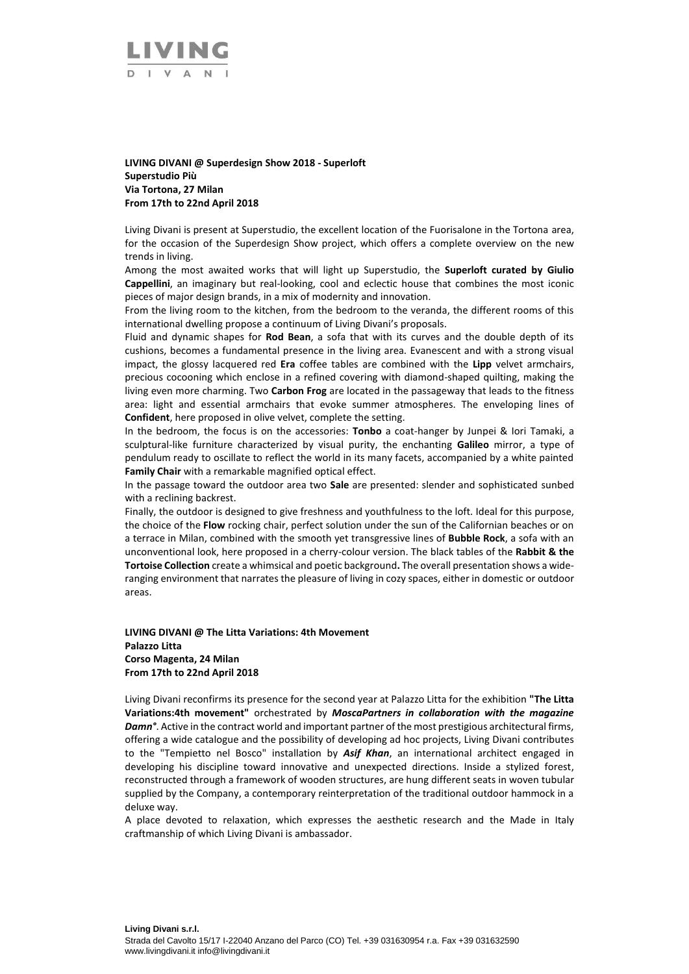

**LIVING DIVANI @ Superdesign Show 2018 - Superloft Superstudio Più Via Tortona, 27 Milan From 17th to 22nd April 2018**

Living Divani is present at Superstudio, the excellent location of the Fuorisalone in the Tortona area, for the occasion of the Superdesign Show project, which offers a complete overview on the new trends in living.

Among the most awaited works that will light up Superstudio, the **Superloft curated by Giulio Cappellini**, an imaginary but real-looking, cool and eclectic house that combines the most iconic pieces of major design brands, in a mix of modernity and innovation.

From the living room to the kitchen, from the bedroom to the veranda, the different rooms of this international dwelling propose a continuum of Living Divani's proposals.

Fluid and dynamic shapes for **Rod Bean**, a sofa that with its curves and the double depth of its cushions, becomes a fundamental presence in the living area. Evanescent and with a strong visual impact, the glossy lacquered red **Era** coffee tables are combined with the **Lipp** velvet armchairs, precious cocooning which enclose in a refined covering with diamond-shaped quilting, making the living even more charming. Two **Carbon Frog** are located in the passageway that leads to the fitness area: light and essential armchairs that evoke summer atmospheres. The enveloping lines of **Confident**, here proposed in olive velvet, complete the setting.

In the bedroom, the focus is on the accessories: **Tonbo** a coat-hanger by Junpei & Iori Tamaki, a sculptural-like furniture characterized by visual purity, the enchanting **Galileo** mirror, a type of pendulum ready to oscillate to reflect the world in its many facets, accompanied by a white painted **Family Chair** with a remarkable magnified optical effect.

In the passage toward the outdoor area two **Sale** are presented: slender and sophisticated sunbed with a reclining backrest.

Finally, the outdoor is designed to give freshness and youthfulness to the loft. Ideal for this purpose, the choice of the **Flow** rocking chair, perfect solution under the sun of the Californian beaches or on a terrace in Milan, combined with the smooth yet transgressive lines of **Bubble Rock**, a sofa with an unconventional look, here proposed in a cherry-colour version. The black tables of the **Rabbit & the Tortoise Collection** create a whimsical and poetic background**.** The overall presentation shows a wideranging environment that narrates the pleasure of living in cozy spaces, either in domestic or outdoor areas.

**LIVING DIVANI @ The Litta Variations: 4th Movement Palazzo Litta Corso Magenta, 24 Milan From 17th to 22nd April 2018** 

Living Divani reconfirms its presence for the second year at Palazzo Litta for the exhibition **"The Litta Variations:4th movement"** orchestrated by *MoscaPartners in collaboration with the magazine Damn°*. Active in the contract world and important partner of the most prestigious architectural firms, offering a wide catalogue and the possibility of developing ad hoc projects, Living Divani contributes to the "Tempietto nel Bosco" installation by *Asif Khan*, an international architect engaged in developing his discipline toward innovative and unexpected directions. Inside a stylized forest, reconstructed through a framework of wooden structures, are hung different seats in woven tubular supplied by the Company, a contemporary reinterpretation of the traditional outdoor hammock in a deluxe way.

A place devoted to relaxation, which expresses the aesthetic research and the Made in Italy craftmanship of which Living Divani is ambassador.